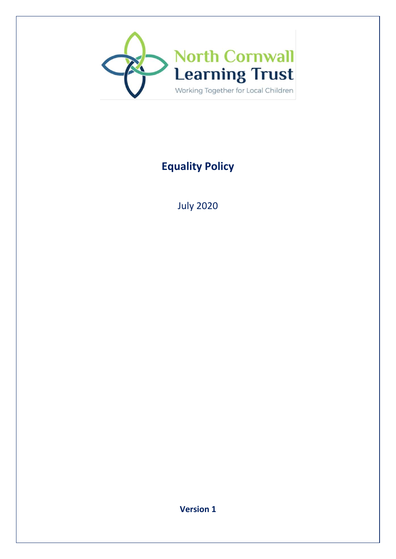

# **Equality Policy**

July 2020

**Version 1**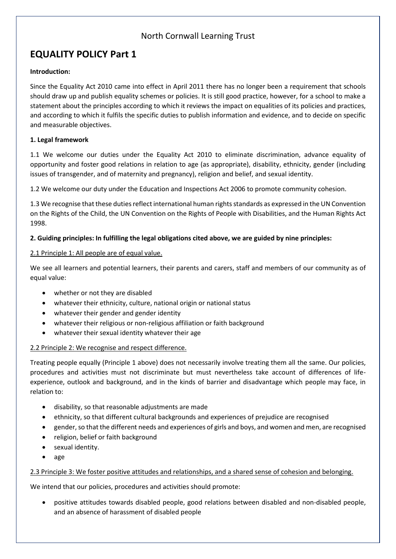### North Cornwall Learning Trust

## **EQUALITY POLICY Part 1**

#### **Introduction:**

Since the Equality Act 2010 came into effect in April 2011 there has no longer been a requirement that schools should draw up and publish equality schemes or policies. It is still good practice, however, for a school to make a statement about the principles according to which it reviews the impact on equalities of its policies and practices, and according to which it fulfils the specific duties to publish information and evidence, and to decide on specific and measurable objectives.

#### **1. Legal framework**

1.1 We welcome our duties under the Equality Act 2010 to eliminate discrimination, advance equality of opportunity and foster good relations in relation to age (as appropriate), disability, ethnicity, gender (including issues of transgender, and of maternity and pregnancy), religion and belief, and sexual identity.

1.2 We welcome our duty under the Education and Inspections Act 2006 to promote community cohesion.

1.3 We recognise that these duties reflect international human rights standards as expressed in the UN Convention on the Rights of the Child, the UN Convention on the Rights of People with Disabilities, and the Human Rights Act 1998.

#### **2. Guiding principles: In fulfilling the legal obligations cited above, we are guided by nine principles:**

#### 2.1 Principle 1: All people are of equal value.

We see all learners and potential learners, their parents and carers, staff and members of our community as of equal value:

- whether or not they are disabled
- whatever their ethnicity, culture, national origin or national status
- whatever their gender and gender identity
- whatever their religious or non-religious affiliation or faith background
- whatever their sexual identity whatever their age

#### 2.2 Principle 2: We recognise and respect difference.

Treating people equally (Principle 1 above) does not necessarily involve treating them all the same. Our policies, procedures and activities must not discriminate but must nevertheless take account of differences of lifeexperience, outlook and background, and in the kinds of barrier and disadvantage which people may face, in relation to:

- disability, so that reasonable adjustments are made
- ethnicity, so that different cultural backgrounds and experiences of prejudice are recognised
- gender, so that the different needs and experiences of girls and boys, and women and men, are recognised
- religion, belief or faith background
- sexual identity.
- age

#### 2.3 Principle 3: We foster positive attitudes and relationships, and a shared sense of cohesion and belonging.

We intend that our policies, procedures and activities should promote:

 positive attitudes towards disabled people, good relations between disabled and non-disabled people, and an absence of harassment of disabled people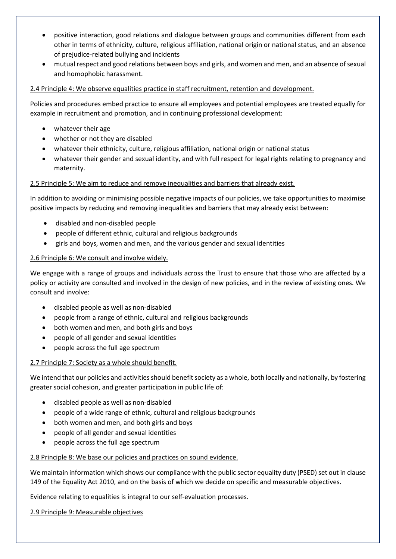- positive interaction, good relations and dialogue between groups and communities different from each other in terms of ethnicity, culture, religious affiliation, national origin or national status, and an absence of prejudice-related bullying and incidents
- mutual respect and good relations between boys and girls, and women and men, and an absence of sexual and homophobic harassment.

#### 2.4 Principle 4: We observe equalities practice in staff recruitment, retention and development.

Policies and procedures embed practice to ensure all employees and potential employees are treated equally for example in recruitment and promotion, and in continuing professional development:

- whatever their age
- whether or not they are disabled
- whatever their ethnicity, culture, religious affiliation, national origin or national status
- whatever their gender and sexual identity, and with full respect for legal rights relating to pregnancy and maternity.

#### 2.5 Principle 5: We aim to reduce and remove inequalities and barriers that already exist.

In addition to avoiding or minimising possible negative impacts of our policies, we take opportunities to maximise positive impacts by reducing and removing inequalities and barriers that may already exist between:

- disabled and non-disabled people
- people of different ethnic, cultural and religious backgrounds
- girls and boys, women and men, and the various gender and sexual identities

#### 2.6 Principle 6: We consult and involve widely.

We engage with a range of groups and individuals across the Trust to ensure that those who are affected by a policy or activity are consulted and involved in the design of new policies, and in the review of existing ones. We consult and involve:

- disabled people as well as non-disabled
- people from a range of ethnic, cultural and religious backgrounds
- both women and men, and both girls and boys
- people of all gender and sexual identities
- people across the full age spectrum

#### 2.7 Principle 7: Society as a whole should benefit.

We intend that our policies and activities should benefit society as a whole, both locally and nationally, by fostering greater social cohesion, and greater participation in public life of:

- disabled people as well as non-disabled
- people of a wide range of ethnic, cultural and religious backgrounds
- both women and men, and both girls and boys
- people of all gender and sexual identities
- people across the full age spectrum

#### 2.8 Principle 8: We base our policies and practices on sound evidence.

We maintain information which shows our compliance with the public sector equality duty (PSED) set out in clause 149 of the Equality Act 2010, and on the basis of which we decide on specific and measurable objectives.

Evidence relating to equalities is integral to our self-evaluation processes.

2.9 Principle 9: Measurable objectives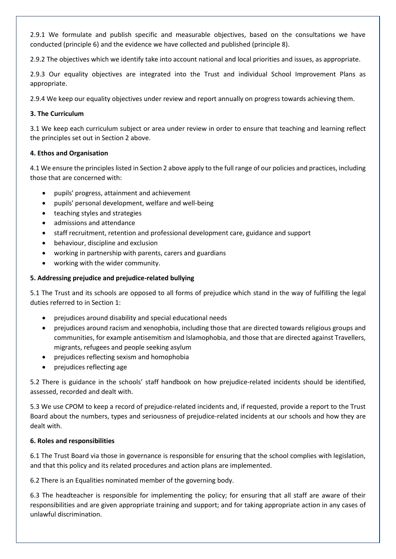2.9.1 We formulate and publish specific and measurable objectives, based on the consultations we have conducted (principle 6) and the evidence we have collected and published (principle 8).

2.9.2 The objectives which we identify take into account national and local priorities and issues, as appropriate.

2.9.3 Our equality objectives are integrated into the Trust and individual School Improvement Plans as appropriate.

2.9.4 We keep our equality objectives under review and report annually on progress towards achieving them.

#### **3. The Curriculum**

3.1 We keep each curriculum subject or area under review in order to ensure that teaching and learning reflect the principles set out in Section 2 above.

#### **4. Ethos and Organisation**

4.1 We ensure the principles listed in Section 2 above apply to the full range of our policies and practices, including those that are concerned with:

- pupils' progress, attainment and achievement
- pupils' personal development, welfare and well-being
- teaching styles and strategies
- admissions and attendance
- staff recruitment, retention and professional development care, guidance and support
- behaviour, discipline and exclusion
- working in partnership with parents, carers and guardians
- working with the wider community.

#### **5. Addressing prejudice and prejudice-related bullying**

5.1 The Trust and its schools are opposed to all forms of prejudice which stand in the way of fulfilling the legal duties referred to in Section 1:

- prejudices around disability and special educational needs
- prejudices around racism and xenophobia, including those that are directed towards religious groups and communities, for example antisemitism and Islamophobia, and those that are directed against Travellers, migrants, refugees and people seeking asylum
- prejudices reflecting sexism and homophobia
- prejudices reflecting age

5.2 There is guidance in the schools' staff handbook on how prejudice-related incidents should be identified, assessed, recorded and dealt with.

5.3 We use CPOM to keep a record of prejudice-related incidents and, if requested, provide a report to the Trust Board about the numbers, types and seriousness of prejudice-related incidents at our schools and how they are dealt with.

#### **6. Roles and responsibilities**

6.1 The Trust Board via those in governance is responsible for ensuring that the school complies with legislation, and that this policy and its related procedures and action plans are implemented.

6.2 There is an Equalities nominated member of the governing body.

6.3 The headteacher is responsible for implementing the policy; for ensuring that all staff are aware of their responsibilities and are given appropriate training and support; and for taking appropriate action in any cases of unlawful discrimination.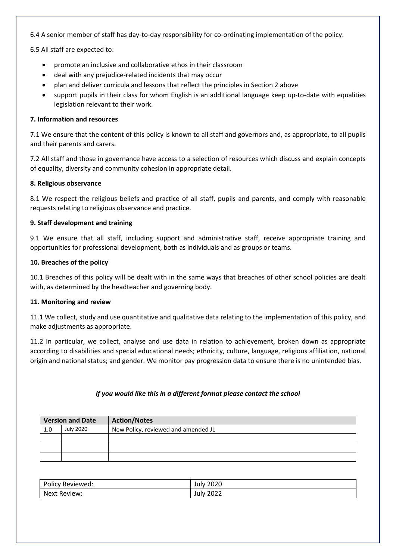6.4 A senior member of staff has day-to-day responsibility for co-ordinating implementation of the policy.

6.5 All staff are expected to:

- promote an inclusive and collaborative ethos in their classroom
- deal with any prejudice-related incidents that may occur
- plan and deliver curricula and lessons that reflect the principles in Section 2 above
- support pupils in their class for whom English is an additional language keep up-to-date with equalities legislation relevant to their work.

#### **7. Information and resources**

7.1 We ensure that the content of this policy is known to all staff and governors and, as appropriate, to all pupils and their parents and carers.

7.2 All staff and those in governance have access to a selection of resources which discuss and explain concepts of equality, diversity and community cohesion in appropriate detail.

#### **8. Religious observance**

8.1 We respect the religious beliefs and practice of all staff, pupils and parents, and comply with reasonable requests relating to religious observance and practice.

#### **9. Staff development and training**

9.1 We ensure that all staff, including support and administrative staff, receive appropriate training and opportunities for professional development, both as individuals and as groups or teams.

#### **10. Breaches of the policy**

10.1 Breaches of this policy will be dealt with in the same ways that breaches of other school policies are dealt with, as determined by the headteacher and governing body.

#### **11. Monitoring and review**

11.1 We collect, study and use quantitative and qualitative data relating to the implementation of this policy, and make adjustments as appropriate.

11.2 In particular, we collect, analyse and use data in relation to achievement, broken down as appropriate according to disabilities and special educational needs; ethnicity, culture, language, religious affiliation, national origin and national status; and gender. We monitor pay progression data to ensure there is no unintended bias.

#### *If you would like this in a different format please contact the school*

| <b>Version and Date</b> |           | <b>Action/Notes</b>                 |
|-------------------------|-----------|-------------------------------------|
| 1.0                     | July 2020 | New Policy, reviewed and amended JL |
|                         |           |                                     |
|                         |           |                                     |
|                         |           |                                     |

| Policy Reviewed: | 2020<br>July |
|------------------|--------------|
| Next Review:     | 2022<br>July |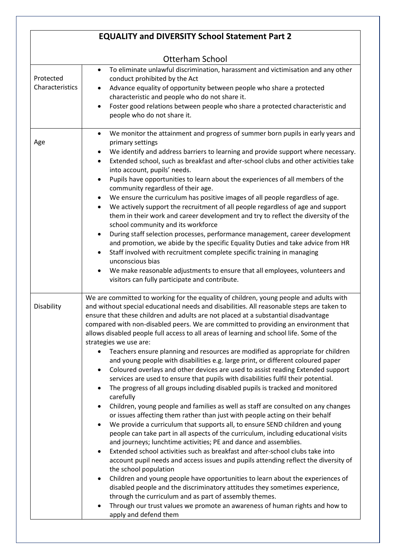|                              | <b>EQUALITY and DIVERSITY School Statement Part 2</b>                                                                                                                                                                                                                                                                                                                                                                                                                                                                                                                                                                                                                                                                                                                                                                                                                                                                                                                                                                                                                                                                                                                                                                                                                                                                                                                                                                                                                                                                                                                                                                                                                                                                                                                                                                                                                                                 |  |  |
|------------------------------|-------------------------------------------------------------------------------------------------------------------------------------------------------------------------------------------------------------------------------------------------------------------------------------------------------------------------------------------------------------------------------------------------------------------------------------------------------------------------------------------------------------------------------------------------------------------------------------------------------------------------------------------------------------------------------------------------------------------------------------------------------------------------------------------------------------------------------------------------------------------------------------------------------------------------------------------------------------------------------------------------------------------------------------------------------------------------------------------------------------------------------------------------------------------------------------------------------------------------------------------------------------------------------------------------------------------------------------------------------------------------------------------------------------------------------------------------------------------------------------------------------------------------------------------------------------------------------------------------------------------------------------------------------------------------------------------------------------------------------------------------------------------------------------------------------------------------------------------------------------------------------------------------------|--|--|
| <b>Otterham School</b>       |                                                                                                                                                                                                                                                                                                                                                                                                                                                                                                                                                                                                                                                                                                                                                                                                                                                                                                                                                                                                                                                                                                                                                                                                                                                                                                                                                                                                                                                                                                                                                                                                                                                                                                                                                                                                                                                                                                       |  |  |
| Protected<br>Characteristics | To eliminate unlawful discrimination, harassment and victimisation and any other<br>$\bullet$<br>conduct prohibited by the Act<br>Advance equality of opportunity between people who share a protected<br>characteristic and people who do not share it.<br>Foster good relations between people who share a protected characteristic and<br>people who do not share it.                                                                                                                                                                                                                                                                                                                                                                                                                                                                                                                                                                                                                                                                                                                                                                                                                                                                                                                                                                                                                                                                                                                                                                                                                                                                                                                                                                                                                                                                                                                              |  |  |
| Age                          | We monitor the attainment and progress of summer born pupils in early years and<br>$\bullet$<br>primary settings<br>We identify and address barriers to learning and provide support where necessary.<br>Extended school, such as breakfast and after-school clubs and other activities take<br>$\bullet$<br>into account, pupils' needs.<br>Pupils have opportunities to learn about the experiences of all members of the<br>$\bullet$<br>community regardless of their age.<br>We ensure the curriculum has positive images of all people regardless of age.<br>We actively support the recruitment of all people regardless of age and support<br>٠<br>them in their work and career development and try to reflect the diversity of the<br>school community and its workforce<br>During staff selection processes, performance management, career development<br>$\bullet$<br>and promotion, we abide by the specific Equality Duties and take advice from HR<br>Staff involved with recruitment complete specific training in managing<br>unconscious bias<br>We make reasonable adjustments to ensure that all employees, volunteers and<br>٠<br>visitors can fully participate and contribute.                                                                                                                                                                                                                                                                                                                                                                                                                                                                                                                                                                                                                                                                                                |  |  |
| Disability                   | We are committed to working for the equality of children, young people and adults with<br>and without special educational needs and disabilities. All reasonable steps are taken to<br>ensure that these children and adults are not placed at a substantial disadvantage<br>compared with non-disabled peers. We are committed to providing an environment that<br>allows disabled people full access to all areas of learning and school life. Some of the<br>strategies we use are:<br>Teachers ensure planning and resources are modified as appropriate for children<br>$\bullet$<br>and young people with disabilities e.g. large print, or different coloured paper<br>Coloured overlays and other devices are used to assist reading Extended support<br>services are used to ensure that pupils with disabilities fulfil their potential.<br>The progress of all groups including disabled pupils is tracked and monitored<br>carefully<br>Children, young people and families as well as staff are consulted on any changes<br>$\bullet$<br>or issues affecting them rather than just with people acting on their behalf<br>We provide a curriculum that supports all, to ensure SEND children and young<br>people can take part in all aspects of the curriculum, including educational visits<br>and journeys; lunchtime activities; PE and dance and assemblies.<br>Extended school activities such as breakfast and after-school clubs take into<br>account pupil needs and access issues and pupils attending reflect the diversity of<br>the school population<br>Children and young people have opportunities to learn about the experiences of<br>$\bullet$<br>disabled people and the discriminatory attitudes they sometimes experience,<br>through the curriculum and as part of assembly themes.<br>Through our trust values we promote an awareness of human rights and how to |  |  |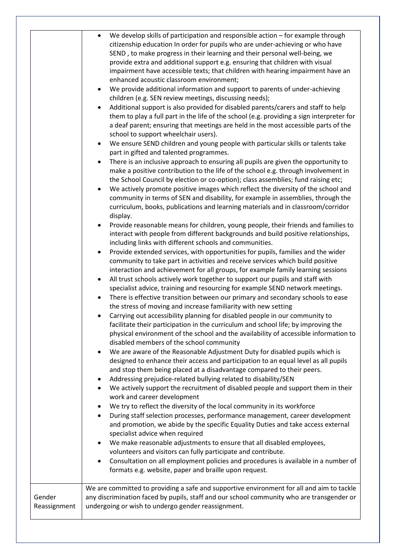|                        | We develop skills of participation and responsible action - for example through<br>$\bullet$<br>citizenship education In order for pupils who are under-achieving or who have<br>SEND, to make progress in their learning and their personal well-being, we<br>provide extra and additional support e.g. ensuring that children with visual<br>impairment have accessible texts; that children with hearing impairment have an<br>enhanced acoustic classroom environment;<br>We provide additional information and support to parents of under-achieving<br>$\bullet$<br>children (e.g. SEN review meetings, discussing needs);<br>Additional support is also provided for disabled parents/carers and staff to help<br>them to play a full part in the life of the school (e.g. providing a sign interpreter for<br>a deaf parent; ensuring that meetings are held in the most accessible parts of the<br>school to support wheelchair users).<br>We ensure SEND children and young people with particular skills or talents take<br>$\bullet$<br>part in gifted and talented programmes.<br>There is an inclusive approach to ensuring all pupils are given the opportunity to<br>$\bullet$<br>make a positive contribution to the life of the school e.g. through involvement in<br>the School Council by election or co-option); class assemblies; fund raising etc;<br>We actively promote positive images which reflect the diversity of the school and<br>$\bullet$<br>community in terms of SEN and disability, for example in assemblies, through the<br>curriculum, books, publications and learning materials and in classroom/corridor<br>display.<br>Provide reasonable means for children, young people, their friends and families to<br>$\bullet$<br>interact with people from different backgrounds and build positive relationships,<br>including links with different schools and communities.<br>Provide extended services, with opportunities for pupils, families and the wider<br>$\bullet$<br>community to take part in activities and receive services which build positive<br>interaction and achievement for all groups, for example family learning sessions<br>All trust schools actively work together to support our pupils and staff with<br>$\bullet$<br>specialist advice, training and resourcing for example SEND network meetings.<br>There is effective transition between our primary and secondary schools to ease<br>$\bullet$<br>the stress of moving and increase familiarity with new setting<br>Carrying out accessibility planning for disabled people in our community to<br>facilitate their participation in the curriculum and school life; by improving the<br>physical environment of the school and the availability of accessible information to<br>disabled members of the school community<br>We are aware of the Reasonable Adjustment Duty for disabled pupils which is<br>designed to enhance their access and participation to an equal level as all pupils<br>and stop them being placed at a disadvantage compared to their peers.<br>Addressing prejudice-related bullying related to disability/SEN<br>٠<br>We actively support the recruitment of disabled people and support them in their<br>$\bullet$<br>work and career development<br>We try to reflect the diversity of the local community in its workforce<br>During staff selection processes, performance management, career development<br>$\bullet$<br>and promotion, we abide by the specific Equality Duties and take access external<br>specialist advice when required<br>We make reasonable adjustments to ensure that all disabled employees,<br>volunteers and visitors can fully participate and contribute.<br>Consultation on all employment policies and procedures is available in a number of<br>$\bullet$<br>formats e.g. website, paper and braille upon request. |
|------------------------|----------------------------------------------------------------------------------------------------------------------------------------------------------------------------------------------------------------------------------------------------------------------------------------------------------------------------------------------------------------------------------------------------------------------------------------------------------------------------------------------------------------------------------------------------------------------------------------------------------------------------------------------------------------------------------------------------------------------------------------------------------------------------------------------------------------------------------------------------------------------------------------------------------------------------------------------------------------------------------------------------------------------------------------------------------------------------------------------------------------------------------------------------------------------------------------------------------------------------------------------------------------------------------------------------------------------------------------------------------------------------------------------------------------------------------------------------------------------------------------------------------------------------------------------------------------------------------------------------------------------------------------------------------------------------------------------------------------------------------------------------------------------------------------------------------------------------------------------------------------------------------------------------------------------------------------------------------------------------------------------------------------------------------------------------------------------------------------------------------------------------------------------------------------------------------------------------------------------------------------------------------------------------------------------------------------------------------------------------------------------------------------------------------------------------------------------------------------------------------------------------------------------------------------------------------------------------------------------------------------------------------------------------------------------------------------------------------------------------------------------------------------------------------------------------------------------------------------------------------------------------------------------------------------------------------------------------------------------------------------------------------------------------------------------------------------------------------------------------------------------------------------------------------------------------------------------------------------------------------------------------------------------------------------------------------------------------------------------------------------------------------------------------------------------------------------------------------------------------------------------------------------------------------------------------------------------------------------------------------------------------------------------------------------------------------------------------------------------------------------------------------------------------------------------------------------------------------------------------------------------------------------------------------------|
| Gender<br>Reassignment | We are committed to providing a safe and supportive environment for all and aim to tackle<br>any discrimination faced by pupils, staff and our school community who are transgender or<br>undergoing or wish to undergo gender reassignment.                                                                                                                                                                                                                                                                                                                                                                                                                                                                                                                                                                                                                                                                                                                                                                                                                                                                                                                                                                                                                                                                                                                                                                                                                                                                                                                                                                                                                                                                                                                                                                                                                                                                                                                                                                                                                                                                                                                                                                                                                                                                                                                                                                                                                                                                                                                                                                                                                                                                                                                                                                                                                                                                                                                                                                                                                                                                                                                                                                                                                                                                                                                                                                                                                                                                                                                                                                                                                                                                                                                                                                                                                                                                   |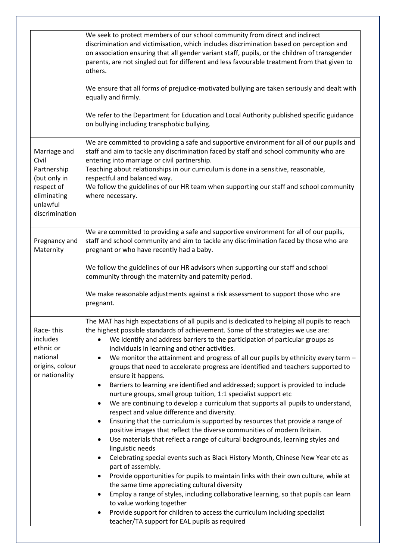|                                                                                                                 | We seek to protect members of our school community from direct and indirect<br>discrimination and victimisation, which includes discrimination based on perception and<br>on association ensuring that all gender variant staff, pupils, or the children of transgender<br>parents, are not singled out for different and less favourable treatment from that given to<br>others.<br>We ensure that all forms of prejudice-motivated bullying are taken seriously and dealt with<br>equally and firmly.<br>We refer to the Department for Education and Local Authority published specific guidance<br>on bullying including transphobic bullying.                                                                                                                                                                                                                                                                                                                                                                                                                                                                                                                                                                                                                                                                                                                                                                                                                                                                                                                                                                                                             |
|-----------------------------------------------------------------------------------------------------------------|----------------------------------------------------------------------------------------------------------------------------------------------------------------------------------------------------------------------------------------------------------------------------------------------------------------------------------------------------------------------------------------------------------------------------------------------------------------------------------------------------------------------------------------------------------------------------------------------------------------------------------------------------------------------------------------------------------------------------------------------------------------------------------------------------------------------------------------------------------------------------------------------------------------------------------------------------------------------------------------------------------------------------------------------------------------------------------------------------------------------------------------------------------------------------------------------------------------------------------------------------------------------------------------------------------------------------------------------------------------------------------------------------------------------------------------------------------------------------------------------------------------------------------------------------------------------------------------------------------------------------------------------------------------|
| Marriage and<br>Civil<br>Partnership<br>(but only in<br>respect of<br>eliminating<br>unlawful<br>discrimination | We are committed to providing a safe and supportive environment for all of our pupils and<br>staff and aim to tackle any discrimination faced by staff and school community who are<br>entering into marriage or civil partnership.<br>Teaching about relationships in our curriculum is done in a sensitive, reasonable,<br>respectful and balanced way.<br>We follow the guidelines of our HR team when supporting our staff and school community<br>where necessary.                                                                                                                                                                                                                                                                                                                                                                                                                                                                                                                                                                                                                                                                                                                                                                                                                                                                                                                                                                                                                                                                                                                                                                                        |
| Pregnancy and<br>Maternity                                                                                      | We are committed to providing a safe and supportive environment for all of our pupils,<br>staff and school community and aim to tackle any discrimination faced by those who are<br>pregnant or who have recently had a baby.<br>We follow the guidelines of our HR advisors when supporting our staff and school<br>community through the maternity and paternity period.<br>We make reasonable adjustments against a risk assessment to support those who are<br>pregnant.                                                                                                                                                                                                                                                                                                                                                                                                                                                                                                                                                                                                                                                                                                                                                                                                                                                                                                                                                                                                                                                                                                                                                                                   |
| Race-this<br>includes<br>ethnic or<br>national<br>origins, colour<br>or nationality                             | The MAT has high expectations of all pupils and is dedicated to helping all pupils to reach<br>the highest possible standards of achievement. Some of the strategies we use are:<br>We identify and address barriers to the participation of particular groups as<br>individuals in learning and other activities.<br>We monitor the attainment and progress of all our pupils by ethnicity every term -<br>٠<br>groups that need to accelerate progress are identified and teachers supported to<br>ensure it happens.<br>Barriers to learning are identified and addressed; support is provided to include<br>$\bullet$<br>nurture groups, small group tuition, 1:1 specialist support etc<br>We are continuing to develop a curriculum that supports all pupils to understand,<br>٠<br>respect and value difference and diversity.<br>Ensuring that the curriculum is supported by resources that provide a range of<br>٠<br>positive images that reflect the diverse communities of modern Britain.<br>Use materials that reflect a range of cultural backgrounds, learning styles and<br>$\bullet$<br>linguistic needs<br>Celebrating special events such as Black History Month, Chinese New Year etc as<br>٠<br>part of assembly.<br>Provide opportunities for pupils to maintain links with their own culture, while at<br>$\bullet$<br>the same time appreciating cultural diversity<br>Employ a range of styles, including collaborative learning, so that pupils can learn<br>to value working together<br>Provide support for children to access the curriculum including specialist<br>$\bullet$<br>teacher/TA support for EAL pupils as required |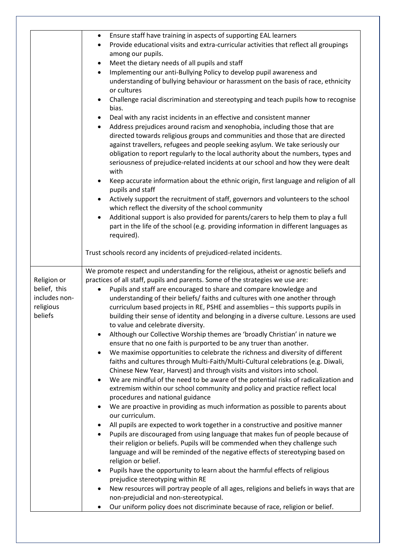|               | Ensure staff have training in aspects of supporting EAL learners<br>٠                                                                                                                   |
|---------------|-----------------------------------------------------------------------------------------------------------------------------------------------------------------------------------------|
|               | Provide educational visits and extra-curricular activities that reflect all groupings<br>$\bullet$                                                                                      |
|               | among our pupils.                                                                                                                                                                       |
|               | Meet the dietary needs of all pupils and staff<br>$\bullet$                                                                                                                             |
|               | Implementing our anti-Bullying Policy to develop pupil awareness and<br>$\bullet$                                                                                                       |
|               | understanding of bullying behaviour or harassment on the basis of race, ethnicity                                                                                                       |
|               | or cultures                                                                                                                                                                             |
|               | Challenge racial discrimination and stereotyping and teach pupils how to recognise<br>$\bullet$                                                                                         |
|               | bias.                                                                                                                                                                                   |
|               | Deal with any racist incidents in an effective and consistent manner                                                                                                                    |
|               | Address prejudices around racism and xenophobia, including those that are<br>$\bullet$                                                                                                  |
|               | directed towards religious groups and communities and those that are directed                                                                                                           |
|               | against travellers, refugees and people seeking asylum. We take seriously our                                                                                                           |
|               | obligation to report regularly to the local authority about the numbers, types and                                                                                                      |
|               | seriousness of prejudice-related incidents at our school and how they were dealt                                                                                                        |
|               | with                                                                                                                                                                                    |
|               | Keep accurate information about the ethnic origin, first language and religion of all<br>$\bullet$                                                                                      |
|               | pupils and staff                                                                                                                                                                        |
|               | Actively support the recruitment of staff, governors and volunteers to the school<br>$\bullet$                                                                                          |
|               | which reflect the diversity of the school community                                                                                                                                     |
|               | Additional support is also provided for parents/carers to help them to play a full<br>$\bullet$<br>part in the life of the school (e.g. providing information in different languages as |
|               | required).                                                                                                                                                                              |
|               |                                                                                                                                                                                         |
|               | Trust schools record any incidents of prejudiced-related incidents.                                                                                                                     |
|               | We promote respect and understanding for the religious, atheist or agnostic beliefs and                                                                                                 |
| Religion or   | practices of all staff, pupils and parents. Some of the strategies we use are:                                                                                                          |
| belief, this  | Pupils and staff are encouraged to share and compare knowledge and                                                                                                                      |
| includes non- | understanding of their beliefs/ faiths and cultures with one another through                                                                                                            |
| religious     | curriculum based projects in RE, PSHE and assemblies - this supports pupils in                                                                                                          |
| beliefs       | building their sense of identity and belonging in a diverse culture. Lessons are used                                                                                                   |
|               | to value and celebrate diversity.                                                                                                                                                       |
|               | Although our Collective Worship themes are 'broadly Christian' in nature we<br>٠                                                                                                        |
|               | ensure that no one faith is purported to be any truer than another.                                                                                                                     |
|               | We maximise opportunities to celebrate the richness and diversity of different<br>٠                                                                                                     |
|               | faiths and cultures through Multi-Faith/Multi-Cultural celebrations (e.g. Diwali,                                                                                                       |
|               | Chinese New Year, Harvest) and through visits and visitors into school.                                                                                                                 |
|               | We are mindful of the need to be aware of the potential risks of radicalization and<br>$\bullet$                                                                                        |
|               | extremism within our school community and policy and practice reflect local                                                                                                             |
|               | procedures and national guidance                                                                                                                                                        |
|               | We are proactive in providing as much information as possible to parents about<br>$\bullet$                                                                                             |
|               | our curriculum.                                                                                                                                                                         |
|               | All pupils are expected to work together in a constructive and positive manner<br>$\bullet$                                                                                             |
|               | Pupils are discouraged from using language that makes fun of people because of<br>$\bullet$                                                                                             |
|               | their religion or beliefs. Pupils will be commended when they challenge such                                                                                                            |
|               | language and will be reminded of the negative effects of stereotyping based on                                                                                                          |
|               | religion or belief.                                                                                                                                                                     |
|               | Pupils have the opportunity to learn about the harmful effects of religious<br>$\bullet$                                                                                                |
|               | prejudice stereotyping within RE                                                                                                                                                        |
|               | New resources will portray people of all ages, religions and beliefs in ways that are<br>$\bullet$                                                                                      |
|               |                                                                                                                                                                                         |
|               | non-prejudicial and non-stereotypical.<br>Our uniform policy does not discriminate because of race, religion or belief.                                                                 |